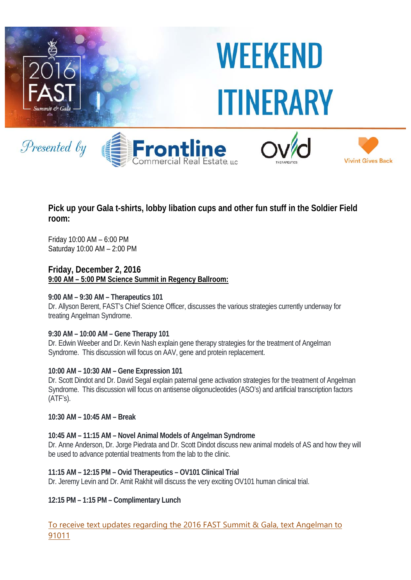

# **Pick up your Gala t-shirts, lobby libation cups and other fun stuff in the Soldier Field room:**

Friday 10:00 AM – 6:00 PM Saturday 10:00 AM – 2:00 PM

**Friday, December 2, 2016 9:00 AM – 5:00 PM Science Summit in Regency Ballroom:** 

# **9:00 AM – 9:30 AM – Therapeutics 101**

Dr. Allyson Berent, FAST's Chief Science Officer, discusses the various strategies currently underway for treating Angelman Syndrome.

# **9:30 AM – 10:00 AM – Gene Therapy 101**

Dr. Edwin Weeber and Dr. Kevin Nash explain gene therapy strategies for the treatment of Angelman Syndrome. This discussion will focus on AAV, gene and protein replacement.

#### **10:00 AM – 10:30 AM – Gene Expression 101**

Dr. Scott Dindot and Dr. David Segal explain paternal gene activation strategies for the treatment of Angelman Syndrome. This discussion will focus on antisense oligonucleotides (ASO's) and artificial transcription factors (ATF's).

**10:30 AM – 10:45 AM – Break** 

# **10:45 AM – 11:15 AM – Novel Animal Models of Angelman Syndrome**

Dr. Anne Anderson, Dr. Jorge Piedrata and Dr. Scott Dindot discuss new animal models of AS and how they will be used to advance potential treatments from the lab to the clinic.

#### **11:15 AM – 12:15 PM – Ovid Therapeutics – OV101 Clinical Trial**

Dr. Jeremy Levin and Dr. Amit Rakhit will discuss the very exciting OV101 human clinical trial.

**12:15 PM – 1:15 PM – Complimentary Lunch** 

To receive text updates regarding the 2016 FAST Summit & Gala, text Angelman to 91011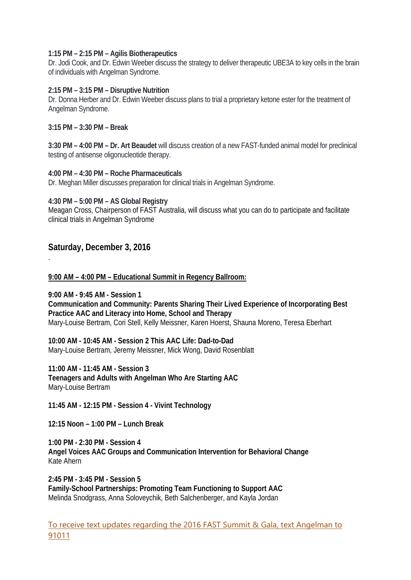#### **1:15 PM – 2:15 PM – Agilis Biotherapeutics**

Dr. Jodi Cook, and Dr. Edwin Weeber discuss the strategy to deliver therapeutic UBE3A to key cells in the brain of individuals with Angelman Syndrome.

#### **2:15 PM – 3:15 PM – Disruptive Nutrition**

Dr. Donna Herber and Dr. Edwin Weeber discuss plans to trial a proprietary ketone ester for the treatment of Angelman Syndrome.

#### **3:15 PM – 3:30 PM – Break**

**3:30 PM – 4:00 PM – Dr. Art Beaudet** will discuss creation of a new FAST-funded animal model for preclinical testing of antisense oligonucleotide therapy.

## **4:00 PM – 4:30 PM – Roche Pharmaceuticals**

Dr. Meghan Miller discusses preparation for clinical trials in Angelman Syndrome.

## **4:30 PM – 5:00 PM – AS Global Registry**

Meagan Cross, Chairperson of FAST Australia, will discuss what you can do to participate and facilitate clinical trials in Angelman Syndrome

# **Saturday, December 3, 2016**

.

## **9:00 AM – 4:00 PM – Educational Summit in Regency Ballroom:**

**9:00 AM - 9:45 AM - Session 1** 

**Communication and Community: Parents Sharing Their Lived Experience of Incorporating Best Practice AAC and Literacy into Home, School and Therapy** Mary-Louise Bertram, Cori Stell, Kelly Meissner, Karen Hoerst, Shauna Moreno, Teresa Eberhart

**10:00 AM - 10:45 AM - Session 2 This AAC Life: Dad-to-Dad** Mary-Louise Bertram, Jeremy Meissner, Mick Wong, David Rosenblatt

**11:00 AM - 11:45 AM - Session 3 Teenagers and Adults with Angelman Who Are Starting AAC** Mary-Louise Bertram

**11:45 AM - 12:15 PM - Session 4 - Vivint Technology** 

**12:15 Noon – 1:00 PM – Lunch Break** 

**1:00 PM - 2:30 PM - Session 4 Angel Voices AAC Groups and Communication Intervention for Behavioral Change** Kate Ahern

**2:45 PM - 3:45 PM - Session 5 Family-School Partnerships: Promoting Team Functioning to Support AAC** Melinda Snodgrass, Anna Soloveychik, Beth Salchenberger, and Kayla Jordan

To receive text updates regarding the 2016 FAST Summit & Gala, text Angelman to 91011